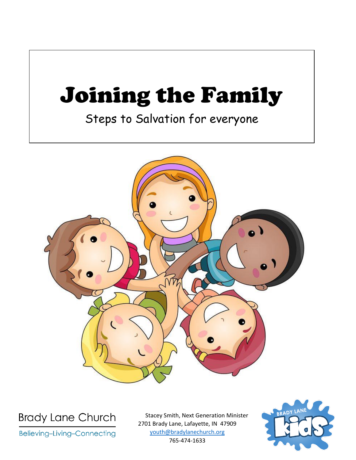# Joining the Family

Steps to Salvation for everyone



**Brady Lane Church** 

**Believing-Living-Connecting** 

Stacey Smith, Next Generation Minister 2701 Brady Lane, Lafayette, IN 47909 [youth@bradylanechurch.org](mailto:youth@bradylanechurch.org) 765-474-1633

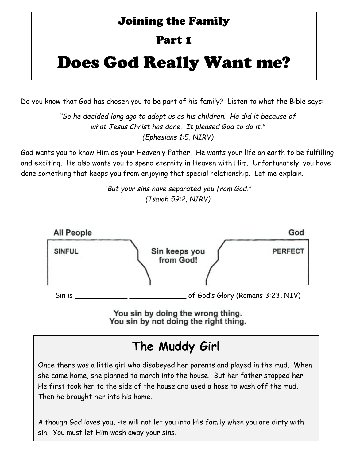### Joining the Family

### Part 1

# Does God Really Want me?

Do you know that God has chosen you to be part of his family? Listen to what the Bible says:

*"So he decided long ago to adopt us as his children. He did it because of what Jesus Christ has done. It pleased God to do it." (Ephesians 1:5, NIRV)*

God wants you to know Him as your Heavenly Father. He wants your life on earth to be fulfilling and exciting. He also wants you to spend eternity in Heaven with Him. Unfortunately, you have done something that keeps you from enjoying that special relationship. Let me explain.

> *"But your sins have separated you from God." (Isaiah 59:2, NIRV)*



You sin by not doing the right thing.

# **The Muddy Girl**

Once there was a little girl who disobeyed her parents and played in the mud. When she came home, she planned to march into the house. But her father stopped her. He first took her to the side of the house and used a hose to wash off the mud. Then he brought her into his home.

**What happens when you since the contract of the single single single single single single single single single** Although God loves you, He will not let you into His family when you are dirty with sin. You must let Him wash away your sins.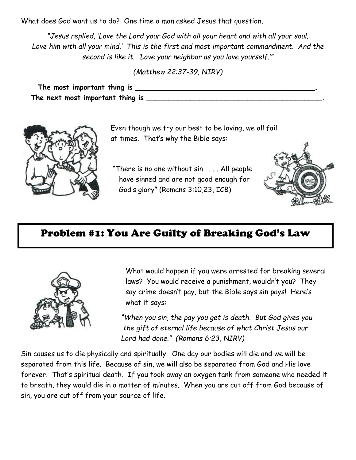What does God want us to do? One time a man asked Jesus that question.

*"Jesus replied, 'Love the Lord your God with all your heart and with all your soul. Love him with all your mind.' This is the first and most important commandment. And the second is like it. 'Love your neighbor as you love yourself.'"*

*(Matthew 22:37-39, NIRV)*

**The most important thing is \_\_\_\_\_\_\_\_\_\_\_\_\_\_\_\_\_\_\_\_\_\_\_\_\_\_\_\_\_\_\_\_\_\_\_\_\_\_\_\_\_. The next most important thing is \_\_\_\_\_\_\_\_\_\_\_\_\_\_\_\_\_\_\_\_\_\_\_\_\_\_\_\_\_\_\_\_\_\_\_\_\_\_\_\_.**



 Even though we try our best to be loving, we all fail at times. That's why the Bible says:

 "There is no one without sin . . . . All people have sinned and are not good enough for God's glory" (Romans 3:10,23, ICB)



### Problem #1: You Are Guilty of Breaking God's Law



What would happen if you were arrested for breaking several laws? You would receive a punishment, wouldn't you? They say crime doesn't pay, but the Bible says sin pays! Here's what it says:

 *"When you sin, the pay you get is death. But God gives you the gift of eternal life because of what Christ Jesus our Lord had done." (Romans 6:23, NIRV)*

Sin causes us to die physically and spiritually. One day our bodies will die and we will be separated from this life. Because of sin, we will also be separated from God and His love forever. That's spiritual death. If you took away an oxygen tank from someone who needed it to breath, they would die in a matter of minutes. When you are cut off from God because of sin, you are cut off from your source of life.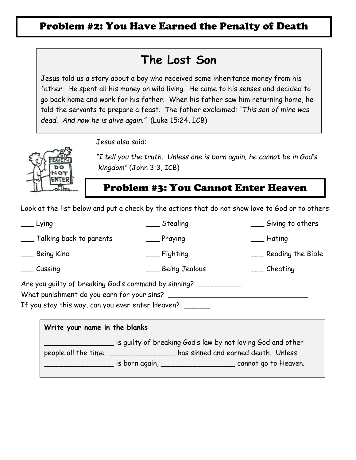### Problem #2: You Have Earned the Penalty of Death

### **The Lost Son**

Jesus told us a story about a boy who received some inheritance money from his father. He spent all his money on wild living. He came to his senses and decided to go back home and work for his father. When his father saw him returning home, he told the servants to prepare a feast. The father exclaimed: *"This son of mine was dead. And now he is alive again."* (Luke 15:24, ICB)

Jesus also said:



 *"I tell you the truth. Unless one is born again, he cannot be in God's kingdom"* (John 3:3, ICB)

### Problem #3: You Cannot Enter Heaven

Look at the list below and put a check by the actions that do not show love to God or to others:

| Lying                                                   | Stealing      | $\equiv$ Giving to others |
|---------------------------------------------------------|---------------|---------------------------|
| Talking back to parents                                 | _ Praying     | __ Hating                 |
| __ Being Kind                                           | __ Fighting   | Reading the Bible         |
| $\frac{1}{\sqrt{1-\frac{1}{2}}}$ Cussing                | Being Jealous | $\sqrt{2}$ Cheating       |
| Are you guilty of breaking God's command by sinning? __ |               |                           |
| What punishment do you earn for your sins?              |               |                           |
| If you stay this way, can you ever enter Heaven?        |               |                           |
|                                                         |               |                           |

| Write your name in the blanks                               |                                    |                                     |  |  |
|-------------------------------------------------------------|------------------------------------|-------------------------------------|--|--|
| is guilty of breaking God's law by not loving God and other |                                    |                                     |  |  |
| people all the time.                                        |                                    | has sinned and earned death. Unless |  |  |
|                                                             | is born again, ___________________ | cannot go to Heaven.                |  |  |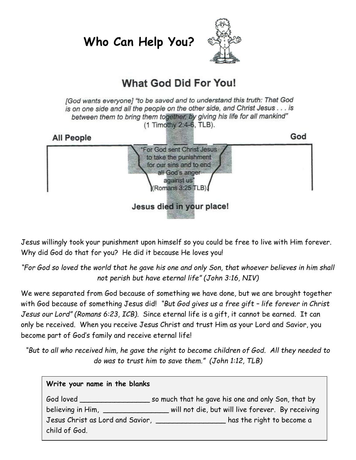**Who Can Help You?**



### **What God Did For You!**

[God wants everyone] "to be saved and to understand this truth: That God is on one side and all the people on the other side, and Christ Jesus . . . is between them to bring them together, by giving his life for all mankind" (1 Timothy 2:4-6, TLB).



Jesus willingly took your punishment upon himself so you could be free to live with Him forever. Why did God do that for you? He did it because He loves you!

*"For God so loved the world that he gave his one and only Son, that whoever believes in him shall not perish but have eternal life" (John 3:16, NIV)*

We were separated from God because of something we have done, but we are brought together with God because of something Jesus did! *"But God gives us a free gift – life forever in Christ Jesus our Lord" (Romans 6:23, ICB)*. Since eternal life is a gift, it cannot be earned. It can only be received. When you receive Jesus Christ and trust Him as your Lord and Savior, you become part of God's family and receive eternal life!

*"But to all who received him, he gave the right to become children of God. All they needed to do was to trust him to save them." (John 1:12, TLB)*

| Write your name in the blanks                                     |                                                    |  |  |  |
|-------------------------------------------------------------------|----------------------------------------------------|--|--|--|
| God loved _______________                                         | so much that he gave his one and only Son, that by |  |  |  |
| believing in Him,                                                 | will not die, but will live forever. By receiving  |  |  |  |
| Jesus Christ as Lord and Savior, _______________<br>child of God. | has the right to become a                          |  |  |  |
|                                                                   |                                                    |  |  |  |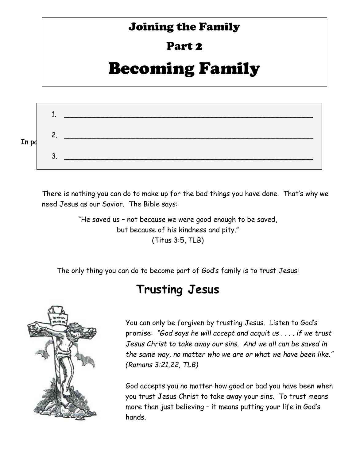### Joining the Family

### Part 2

# Becoming Family



There is nothing you can do to make up for the bad things you have done. That's why we need Jesus as our Savior. The Bible says:

> "He saved us – not because we were good enough to be saved, but because of his kindness and pity." (Titus 3:5, TLB)

The only thing you can do to become part of God's family is to trust Jesus!

### **Trusting Jesus**



You can only be forgiven by trusting Jesus. Listen to God's promise: *"God says he will accept and acquit us . . . . if we trust Jesus Christ to take away our sins. And we all can be saved in the same way, no matter who we are or what we have been like." (Romans 3:21,22, TLB)*

God accepts you no matter how good or bad you have been when you trust Jesus Christ to take away your sins. To trust means more than just believing – it means putting your life in God's hands.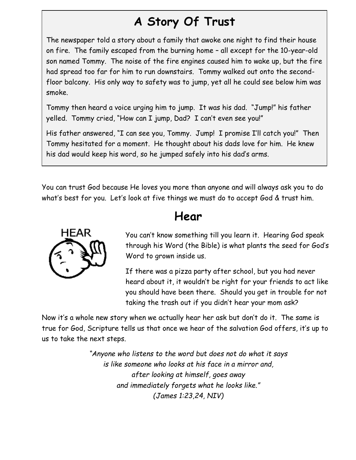## **A Story Of Trust**

The newspaper told a story about a family that awoke one night to find their house on fire. The family escaped from the burning home – all except for the 10-year-old son named Tommy. The noise of the fire engines caused him to wake up, but the fire had spread too far for him to run downstairs. Tommy walked out onto the secondfloor balcony. His only way to safety was to jump, yet all he could see below him was smoke.

Tommy then heard a voice urging him to jump. It was his dad. "Jump!" his father yelled. Tommy cried, "How can I jump, Dad? I can't even see you!"

His father answered, "I can see you, Tommy. Jump! I promise I'll catch you!" Then Tommy hesitated for a moment. He thought about his dads love for him. He knew his dad would keep his word, so he jumped safely into his dad's arms.

You can trust God because He loves you more than anyone and will always ask you to do what's best for you. Let's look at five things we must do to accept God & trust him.



### **Hear**

You can't know something till you learn it. Hearing God speak through his Word (the Bible) is what plants the seed for God's Word to grown inside us.

If there was a pizza party after school, but you had never heard about it, it wouldn't be right for your friends to act like you should have been there. Should you get in trouble for not taking the trash out if you didn't hear your mom ask?

Now it's a whole new story when we actually hear her ask but don't do it. The same is true for God, Scripture tells us that once we hear of the salvation God offers, it's up to us to take the next steps.

> *"Anyone who listens to the word but does not do what it says is like someone who looks at his face in a mirror and, after looking at himself, goes away and immediately forgets what he looks like." (James 1:23,24, NIV)*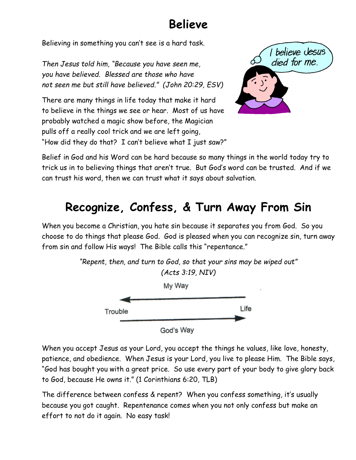### **Believe**

Believing in something you can't see is a hard task.

*Then Jesus told him, "Because you have seen me, you have believed. Blessed are those who have not seen me but still have believed." (John 20:29, ESV)*

There are many things in life today that make it hard to believe in the things we see or hear. Most of us have probably watched a magic show before, the Magician pulls off a really cool trick and we are left going, "How did they do that? I can't believe what I just saw?"



Belief in God and his Word can be hard because so many things in the world today try to trick us in to believing things that aren't true. But God's word can be trusted. And if we can trust his word, then we can trust what it says about salvation.

# **Recognize, Confess, & Turn Away From Sin**

When you become a Christian, you hate sin because it separates you from God. So you choose to do things that please God. God is pleased when you can recognize sin, turn away from sin and follow His ways! The Bible calls this "repentance."



When you accept Jesus as your Lord, you accept the things he values, like love, honesty, patience, and obedience. When Jesus is your Lord, you live to please Him. The Bible says, "God has bought you with a great price. So use every part of your body to give glory back to God, because He owns it." (1 Corinthians 6:20, TLB)

The difference between confess & repent? When you confess something, it's usually because you got caught. Repentenance comes when you not only confess but make an effort to not do it again. No easy task!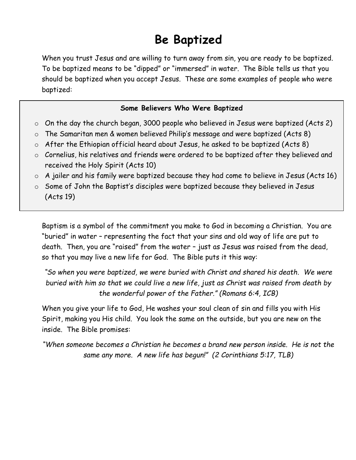# **Be Baptized**

When you trust Jesus and are willing to turn away from sin, you are ready to be baptized. To be baptized means to be "dipped" or "immersed" in water. The Bible tells us that you should be baptized when you accept Jesus. These are some examples of people who were baptized:

#### **Some Believers Who Were Baptized**

- $\circ$  On the day the church began, 3000 people who believed in Jesus were baptized (Acts 2)
- o The Samaritan men & women believed Philip's message and were baptized (Acts 8)
- o After the Ethiopian official heard about Jesus, he asked to be baptized (Acts 8)
- o Cornelius, his relatives and friends were ordered to be baptized after they believed and received the Holy Spirit (Acts 10)
- $\circ$  A jailer and his family were baptized because they had come to believe in Jesus (Acts 16)

o Some of John the Baptist's disciples were baptized because they believed in Jesus (Acts 19)

Baptism is a symbol of the commitment you make to God in becoming a Christian. You are "buried" in water – representing the fact that your sins and old way of life are put to death. Then, you are "raised" from the water – just as Jesus was raised from the dead, so that you may live a new life for God. The Bible puts it this way:

*"So when you were baptized, we were buried with Christ and shared his death. We were buried with him so that we could live a new life, just as Christ was raised from death by the wonderful power of the Father." (Romans 6:4, ICB)*

When you give your life to God, He washes your soul clean of sin and fills you with His Spirit, making you His child. You look the same on the outside, but you are new on the inside. The Bible promises:

*"When someone becomes a Christian he becomes a brand new person inside. He is not the same any more. A new life has begun!" (2 Corinthians 5:17, TLB)*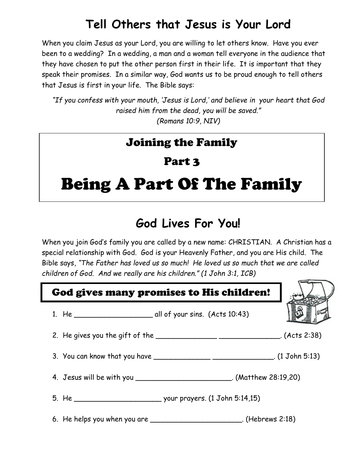## **Tell Others that Jesus is Your Lord**

When you claim Jesus as your Lord, you are willing to let others know. Have you ever been to a wedding? In a wedding, a man and a woman tell everyone in the audience that they have chosen to put the other person first in their life. It is important that they speak their promises. In a similar way, God wants us to be proud enough to tell others that Jesus is first in your life. The Bible says:

*"If you confess with your mouth, 'Jesus is Lord,' and believe in your heart that God raised him from the dead, you will be saved." (Romans 10:9, NIV)*

### Joining the Family

### Part 3

# Being A Part Of The Family

## **God Lives For You!**

When you join God's family you are called by a new name: CHRISTIAN. A Christian has a special relationship with God. God is your Heavenly Father, and you are His child. The Bible says, *"The Father has loved us so much! He loved us so much that we are called children of God. And we really are his children." (1 John 3:1, ICB)*

| God gives many promises to His children!                                         |  |
|----------------------------------------------------------------------------------|--|
|                                                                                  |  |
| 2. He gives you the gift of the _________________________________. (Acts 2:38)   |  |
| 3. You can know that you have ___________________________________. (1 John 5:13) |  |
| 4. Jesus will be with you _____________________________. (Matthew 28:19,20)      |  |
|                                                                                  |  |
| 6. He helps you when you are __________________________. (Hebrews 2:18)          |  |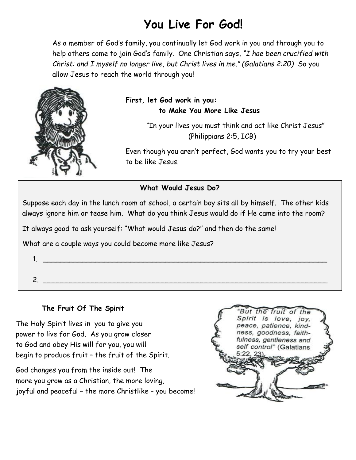# **You Live For God!**

As a member of God's family, you continually let God work in you and through you to help others come to join God's family. One Christian says, *"I hae been crucified with Christ: and I myself no longer live, but Christ lives in me." (Galatians 2:20)* So you allow Jesus to reach the world through you!



#### **First, let God work in you: to Make You More Like Jesus**

"In your lives you must think and act like Christ Jesus" (Philippians 2:5, ICB)

Even though you aren't perfect, God wants you to try your best to be like Jesus.

#### **What Would Jesus Do?**

Suppose each day in the lunch room at school, a certain boy sits all by himself. The other kids always ignore him or tease him. What do you think Jesus would do if He came into the room?

It always good to ask yourself: "What would Jesus do?" and then do the same!

What are a couple ways you could become more like Jesus?

- $1.$
- 

### 2.

#### **The Fruit Of The Spirit**

The Holy Spirit lives in you to give you power to live for God. As you grow closer to God and obey His will for you, you will begin to produce fruit – the fruit of the Spirit.

God changes you from the inside out! The more you grow as a Christian, the more loving, joyful and peaceful – the more Christlike – you become!

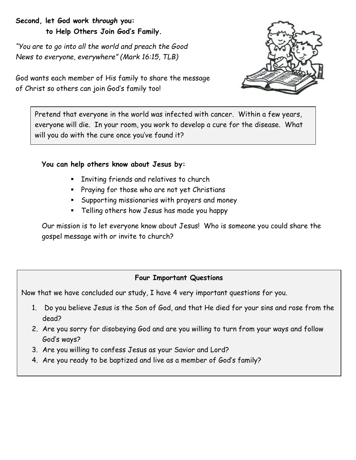#### **Second, let God work** *through* **you: to Help Others Join God's Family.**

*"You are to go into all the world and preach the Good News to everyone, everywhere" (Mark 16:15, TLB)*



God wants each member of His family to share the message of Christ so others can join God's family too!

Pretend that everyone in the world was infected with cancer. Within a few years, everyone will die. In your room, you work to develop a cure for the disease. What will you do with the cure once you've found it?

#### **You can help others know about Jesus by:**

- **Inviting friends and relatives to church**
- **Praying for those who are not yet Christians**
- Supporting missionaries with prayers and money
- Telling others how Jesus has made you happy

Our mission is to let everyone know about Jesus! Who is someone you could share the gospel message with or invite to church?

#### **Four Important Questions**

Now that we have concluded our study, I have 4 very important questions for you.

- 1. Do you believe Jesus is the Son of God, and that He died for your sins and rose from the dead?
- 2. Are you sorry for disobeying God and are you willing to turn from your ways and follow God's ways?
- 3. Are you willing to confess Jesus as your Savior and Lord?
- 4. Are you ready to be baptized and live as a member of God's family?